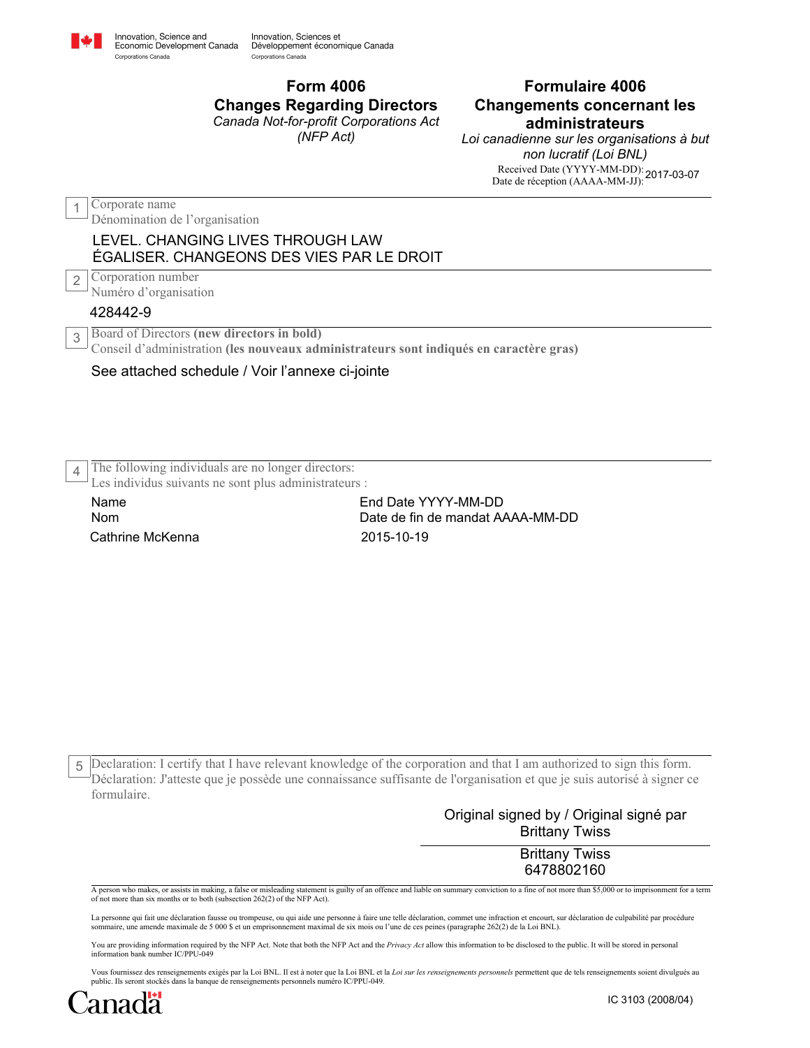

Conseil d'administration **(les nouveaux administrateurs sont indiqués en caractère gras)**

## See attached schedule / Voir l'annexe ci-jointe

The following individuals are no longer directors: 4

Les individus suivants ne sont plus administrateurs :

Cathrine McKenna 2015-10-19 Name Nom

End Date YYYY-MM-DD Date de fin de mandat AAAA-MM-DD

Declaration: I certify that I have relevant knowledge of the corporation and that I am authorized to sign this form. 5 Déclaration: J'atteste que je possède une connaissance suffisante de l'organisation et que je suis autorisé à signer ce formulaire.

> Original signed by / Original signé par Brittany Twiss

> > Brittany Twiss 6478802160

A person who makes, or assists in making, a false or misleading statement is guilty of an offence and liable on summary conviction to a fine of not more than \$5,000 or to imprisonment for a term of not more than six months or to both (subsection 262(2) of the NFP Act).

La personne qui fait une déclaration fausse ou trompeuse, ou qui aide une personne à faire une telle déclaration, commet une infraction et encourt, sur déclaration de culpabilité par procédure<br>sommaire, une amende maximale

You are providing information required by the NFP Act. Note that both the NFP Act and the *Privacy Act* allow this information to be disclosed to the public. It will be stored in personal<br>information bank number IC/PPU-049

Vous fournissez des renseignements exigés par la Loi BNL. Il est à noter que la Loi BNL et la *Loi sur les renseignements personnels* permettent que de tels renseignements soient divulgués au public. Ils seront stockés dans la banque de renseignements personnels numéro IC/PPU-049.